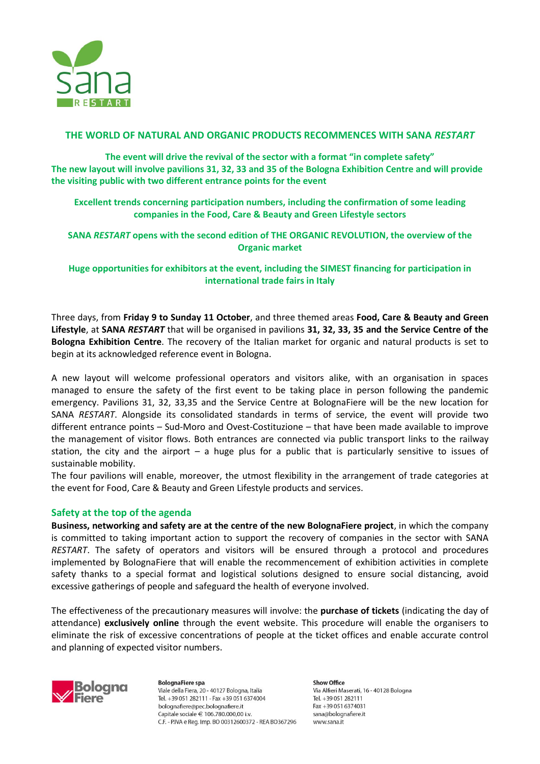

## **THE WORLD OF NATURAL AND ORGANIC PRODUCTS RECOMMENCES WITH SANA** *RESTART*

**The event will drive the revival of the sector with a format "in complete safety" The new layout will involve pavilions 31, 32, 33 and 35 of the Bologna Exhibition Centre and will provide the visiting public with two different entrance points for the event**

**Excellent trends concerning participation numbers, including the confirmation of some leading companies in the Food, Care & Beauty and Green Lifestyle sectors**

**SANA** *RESTART* **opens with the second edition of THE ORGANIC REVOLUTION, the overview of the Organic market**

**Huge opportunities for exhibitors at the event, including the SIMEST financing for participation in international trade fairs in Italy** 

Three days, from **Friday 9 to Sunday 11 October**, and three themed areas **Food, Care & Beauty and Green Lifestyle**, at **SANA** *RESTART* that will be organised in pavilions **31, 32, 33, 35 and the Service Centre of the Bologna Exhibition Centre**. The recovery of the Italian market for organic and natural products is set to begin at its acknowledged reference event in Bologna.

A new layout will welcome professional operators and visitors alike, with an organisation in spaces managed to ensure the safety of the first event to be taking place in person following the pandemic emergency. Pavilions 31, 32, 33,35 and the Service Centre at BolognaFiere will be the new location for SANA *RESTART*. Alongside its consolidated standards in terms of service, the event will provide two different entrance points – Sud-Moro and Ovest-Costituzione – that have been made available to improve the management of visitor flows. Both entrances are connected via public transport links to the railway station, the city and the airport – a huge plus for a public that is particularly sensitive to issues of sustainable mobility.

The four pavilions will enable, moreover, the utmost flexibility in the arrangement of trade categories at the event for Food, Care & Beauty and Green Lifestyle products and services.

### **Safety at the top of the agenda**

**Business, networking and safety are at the centre of the new BolognaFiere project**, in which the company is committed to taking important action to support the recovery of companies in the sector with SANA *RESTART*. The safety of operators and visitors will be ensured through a protocol and procedures implemented by BolognaFiere that will enable the recommencement of exhibition activities in complete safety thanks to a special format and logistical solutions designed to ensure social distancing, avoid excessive gatherings of people and safeguard the health of everyone involved.

The effectiveness of the precautionary measures will involve: the **purchase of tickets** (indicating the day of attendance) **exclusively online** through the event website. This procedure will enable the organisers to eliminate the risk of excessive concentrations of people at the ticket offices and enable accurate control and planning of expected visitor numbers.



**BolognaFiere spa** Viale della Fiera, 20 - 40127 Bologna, Italia Tel. +39 051 282111 - Fax +39 051 6374004 bolognafiere@pec.bolognafiere.it Capitale sociale € 106.780.000.00 i.v. C.F. - P.IVA e Reg. Imp. BO 00312600372 - REA BO367296

**Show Office** Via Alfieri Maserati, 16 - 40128 Bologna Tel. +39 051 282111 Fax +39 051 6374031 sana@bolognafiere.it www.sana.it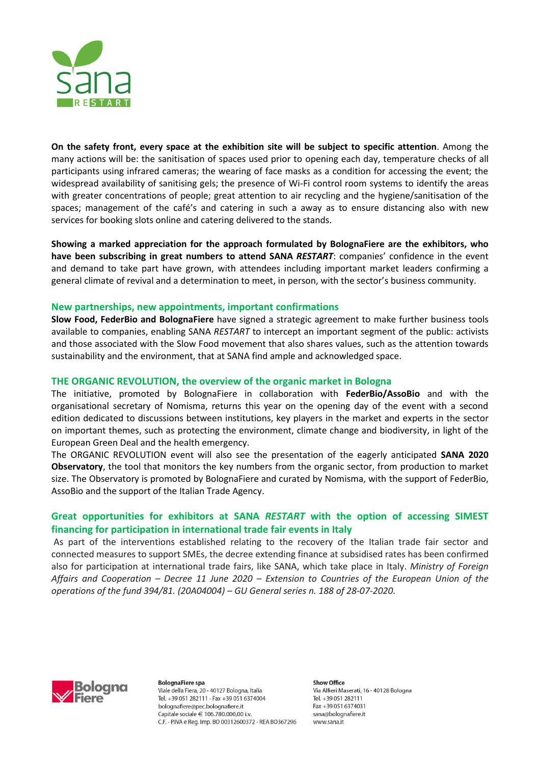

**On the safety front, every space at the exhibition site will be subject to specific attention**. Among the many actions will be: the sanitisation of spaces used prior to opening each day, temperature checks of all participants using infrared cameras; the wearing of face masks as a condition for accessing the event; the widespread availability of sanitising gels; the presence of Wi-Fi control room systems to identify the areas with greater concentrations of people; great attention to air recycling and the hygiene/sanitisation of the spaces; management of the café's and catering in such a away as to ensure distancing also with new services for booking slots online and catering delivered to the stands.

**Showing a marked appreciation for the approach formulated by BolognaFiere are the exhibitors, who have been subscribing in great numbers to attend SANA** *RESTART*: companies' confidence in the event and demand to take part have grown, with attendees including important market leaders confirming a general climate of revival and a determination to meet, in person, with the sector's business community.

## **New partnerships, new appointments, important confirmations**

**Slow Food, FederBio and BolognaFiere** have signed a strategic agreement to make further business tools available to companies, enabling SANA *RESTART* to intercept an important segment of the public: activists and those associated with the Slow Food movement that also shares values, such as the attention towards sustainability and the environment, that at SANA find ample and acknowledged space.

### **THE ORGANIC REVOLUTION, the overview of the organic market in Bologna**

The initiative, promoted by BolognaFiere in collaboration with **FederBio/AssoBio** and with the organisational secretary of Nomisma, returns this year on the opening day of the event with a second edition dedicated to discussions between institutions, key players in the market and experts in the sector on important themes, such as protecting the environment, climate change and biodiversity, in light of the European Green Deal and the health emergency.

The ORGANIC REVOLUTION event will also see the presentation of the eagerly anticipated **SANA 2020 Observatory**, the tool that monitors the key numbers from the organic sector, from production to market size. The Observatory is promoted by BolognaFiere and curated by Nomisma, with the support of FederBio, AssoBio and the support of the Italian Trade Agency.

# **Great opportunities for exhibitors at SANA** *RESTART* **with the option of accessing SIMEST financing for participation in international trade fair events in Italy**

As part of the interventions established relating to the recovery of the Italian trade fair sector and connected measures to support SMEs, the decree extending finance at subsidised rates has been confirmed also for participation at international trade fairs, like SANA, which take place in Italy. *Ministry of Foreign Affairs and Cooperation – Decree 11 June 2020 – Extension to Countries of the European Union of the operations of the fund 394/81. (20A04004) – GU General series n. 188 of 28-07-2020.*



**BolognaFiere spa** Viale della Fiera, 20 - 40127 Bologna, Italia Tel. +39 051 282111 - Fax +39 051 6374004 bolognafiere@pec.bolognafiere.it Capitale sociale  $\in$  106.780.000.00 i.v. C.F. - P.IVA e Rea. Imp. BO 00312600372 - REA BO367296

**Show Office** Via Alfieri Maserati, 16 - 40128 Bologna Tel. +39 051 282111 Fax +39 051 6374031 sana@bolognafiere.it www.sana.it